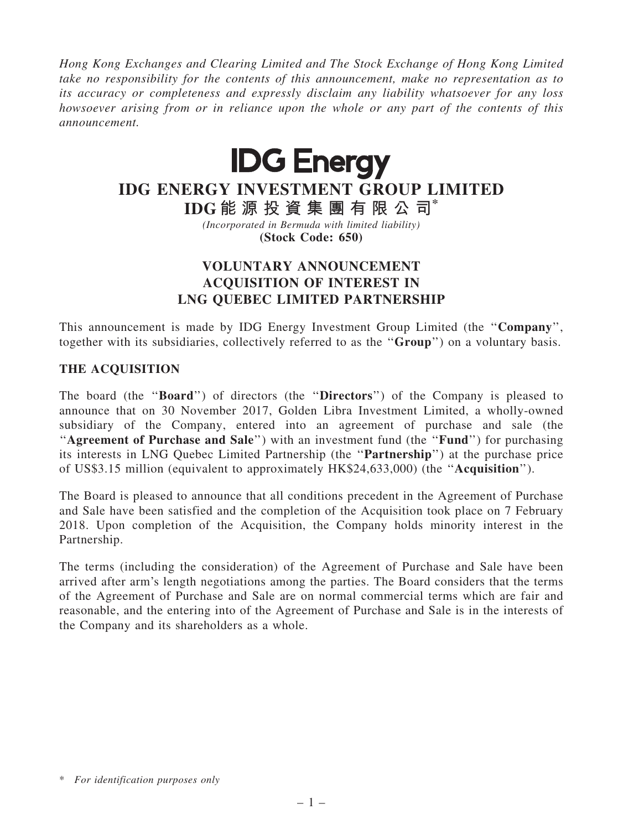Hong Kong Exchanges and Clearing Limited and The Stock Exchange of Hong Kong Limited take no responsibility for the contents of this announcement, make no representation as to its accuracy or completeness and expressly disclaim any liability whatsoever for any loss howsoever arising from or in reliance upon the whole or any part of the contents of this announcement.



# IDG ENERGY INVESTMENT GROUP LIMITED

IDG 能 源 投 資 集 團 有 限 公 司\* (Incorporated in Bermuda with limited liability)

(Stock Code: 650)

## VOLUNTARY ANNOUNCEMENT ACQUISITION OF INTEREST IN LNG QUEBEC LIMITED PARTNERSHIP

This announcement is made by IDG Energy Investment Group Limited (the ''Company'', together with its subsidiaries, collectively referred to as the ''Group'') on a voluntary basis.

### THE ACQUISITION

The board (the ''Board'') of directors (the ''Directors'') of the Company is pleased to announce that on 30 November 2017, Golden Libra Investment Limited, a wholly-owned subsidiary of the Company, entered into an agreement of purchase and sale (the "Agreement of Purchase and Sale") with an investment fund (the "Fund") for purchasing its interests in LNG Quebec Limited Partnership (the ''Partnership'') at the purchase price of US\$3.15 million (equivalent to approximately HK\$24,633,000) (the ''Acquisition'').

The Board is pleased to announce that all conditions precedent in the Agreement of Purchase and Sale have been satisfied and the completion of the Acquisition took place on 7 February 2018. Upon completion of the Acquisition, the Company holds minority interest in the Partnership.

The terms (including the consideration) of the Agreement of Purchase and Sale have been arrived after arm's length negotiations among the parties. The Board considers that the terms of the Agreement of Purchase and Sale are on normal commercial terms which are fair and reasonable, and the entering into of the Agreement of Purchase and Sale is in the interests of the Company and its shareholders as a whole.

<sup>\*</sup> For identification purposes only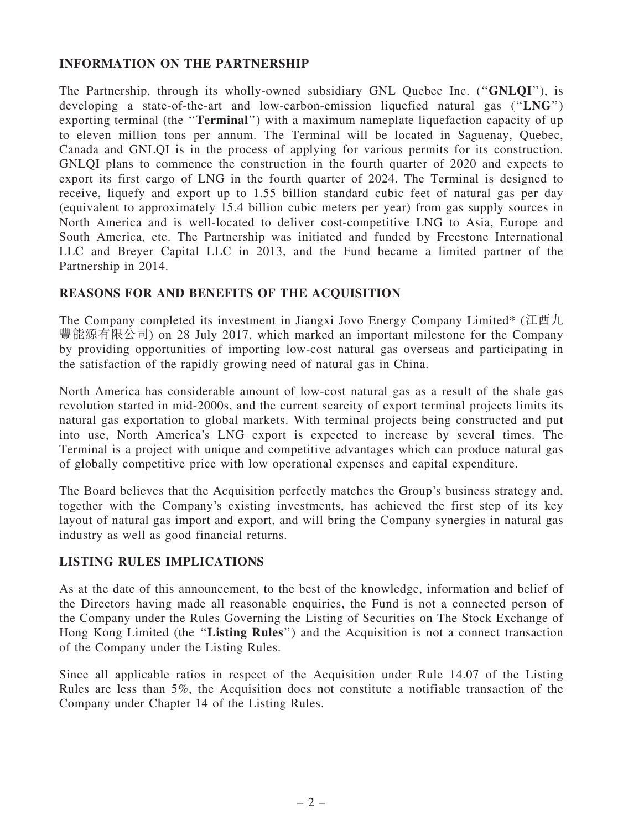#### INFORMATION ON THE PARTNERSHIP

The Partnership, through its wholly-owned subsidiary GNL Quebec Inc. (''GNLQI''), is developing a state-of-the-art and low-carbon-emission liquefied natural gas (''LNG'') exporting terminal (the "**Terminal**") with a maximum nameplate liquefaction capacity of up to eleven million tons per annum. The Terminal will be located in Saguenay, Quebec, Canada and GNLQI is in the process of applying for various permits for its construction. GNLQI plans to commence the construction in the fourth quarter of 2020 and expects to export its first cargo of LNG in the fourth quarter of 2024. The Terminal is designed to receive, liquefy and export up to 1.55 billion standard cubic feet of natural gas per day (equivalent to approximately 15.4 billion cubic meters per year) from gas supply sources in North America and is well-located to deliver cost-competitive LNG to Asia, Europe and South America, etc. The Partnership was initiated and funded by Freestone International LLC and Breyer Capital LLC in 2013, and the Fund became a limited partner of the Partnership in 2014.

#### REASONS FOR AND BENEFITS OF THE ACQUISITION

The Company completed its investment in Jiangxi Jovo Energy Company Limited\* (江西九 豐能源有限公司) on 28 July 2017, which marked an important milestone for the Company by providing opportunities of importing low-cost natural gas overseas and participating in the satisfaction of the rapidly growing need of natural gas in China.

North America has considerable amount of low-cost natural gas as a result of the shale gas revolution started in mid-2000s, and the current scarcity of export terminal projects limits its natural gas exportation to global markets. With terminal projects being constructed and put into use, North America's LNG export is expected to increase by several times. The Terminal is a project with unique and competitive advantages which can produce natural gas of globally competitive price with low operational expenses and capital expenditure.

The Board believes that the Acquisition perfectly matches the Group's business strategy and, together with the Company's existing investments, has achieved the first step of its key layout of natural gas import and export, and will bring the Company synergies in natural gas industry as well as good financial returns.

#### LISTING RULES IMPLICATIONS

As at the date of this announcement, to the best of the knowledge, information and belief of the Directors having made all reasonable enquiries, the Fund is not a connected person of the Company under the Rules Governing the Listing of Securities on The Stock Exchange of Hong Kong Limited (the ''Listing Rules'') and the Acquisition is not a connect transaction of the Company under the Listing Rules.

Since all applicable ratios in respect of the Acquisition under Rule 14.07 of the Listing Rules are less than 5%, the Acquisition does not constitute a notifiable transaction of the Company under Chapter 14 of the Listing Rules.